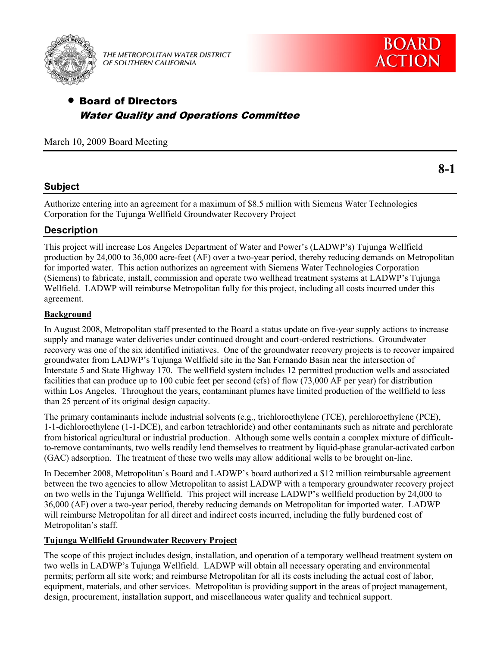

THE METROPOLITAN WATER DISTRICT OF SOUTHERN CALIFORNIA



# Board of Directors Water Quality and Operations Committee

March 10, 2009 Board Meeting

**8-1** 

## **Subject**

Authorize entering into an agreement for a maximum of \$8.5 million with Siemens Water Technologies Corporation for the Tujunga Wellfield Groundwater Recovery Project

## **Description**

This project will increase Los Angeles Department of Water and Power's (LADWP's) Tujunga Wellfield production by 24,000 to 36,000 acre-feet (AF) over a two-year period, thereby reducing demands on Metropolitan for imported water. This action authorizes an agreement with Siemens Water Technologies Corporation (Siemens) to fabricate, install, commission and operate two wellhead treatment systems at LADWP's Tujunga Wellfield. LADWP will reimburse Metropolitan fully for this project, including all costs incurred under this agreement.

## **Background**

In August 2008, Metropolitan staff presented to the Board a status update on five-year supply actions to increase supply and manage water deliveries under continued drought and court-ordered restrictions. Groundwater recovery was one of the six identified initiatives. One of the groundwater recovery projects is to recover impaired groundwater from LADWP's Tujunga Wellfield site in the San Fernando Basin near the intersection of Interstate 5 and State Highway 170. The wellfield system includes 12 permitted production wells and associated facilities that can produce up to 100 cubic feet per second (cfs) of flow (73,000 AF per year) for distribution within Los Angeles. Throughout the years, contaminant plumes have limited production of the wellfield to less than 25 percent of its original design capacity.

The primary contaminants include industrial solvents (e.g., trichloroethylene (TCE), perchloroethylene (PCE), 1-1-dichloroethylene (1-1-DCE), and carbon tetrachloride) and other contaminants such as nitrate and perchlorate from historical agricultural or industrial production. Although some wells contain a complex mixture of difficultto-remove contaminants, two wells readily lend themselves to treatment by liquid-phase granular-activated carbon (GAC) adsorption. The treatment of these two wells may allow additional wells to be brought on-line.

In December 2008, Metropolitan's Board and LADWP's board authorized a \$12 million reimbursable agreement between the two agencies to allow Metropolitan to assist LADWP with a temporary groundwater recovery project on two wells in the Tujunga Wellfield. This project will increase LADWP's wellfield production by 24,000 to 36,000 (AF) over a two-year period, thereby reducing demands on Metropolitan for imported water. LADWP will reimburse Metropolitan for all direct and indirect costs incurred, including the fully burdened cost of Metropolitan's staff.

## **Tujunga Wellfield Groundwater Recovery Project**

The scope of this project includes design, installation, and operation of a temporary wellhead treatment system on two wells in LADWP's Tujunga Wellfield. LADWP will obtain all necessary operating and environmental permits; perform all site work; and reimburse Metropolitan for all its costs including the actual cost of labor, equipment, materials, and other services. Metropolitan is providing support in the areas of project management, design, procurement, installation support, and miscellaneous water quality and technical support.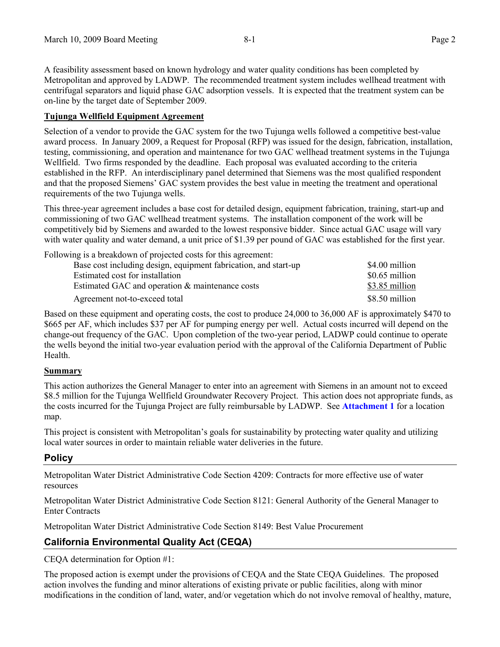A feasibility assessment based on known hydrology and water quality conditions has been completed by Metropolitan and approved by LADWP. The recommended treatment system includes wellhead treatment with centrifugal separators and liquid phase GAC adsorption vessels. It is expected that the treatment system can be on-line by the target date of September 2009.

### **Tujunga Wellfield Equipment Agreement**

Selection of a vendor to provide the GAC system for the two Tujunga wells followed a competitive best-value award process. In January 2009, a Request for Proposal (RFP) was issued for the design, fabrication, installation, testing, commissioning, and operation and maintenance for two GAC wellhead treatment systems in the Tujunga Wellfield. Two firms responded by the deadline. Each proposal was evaluated according to the criteria established in the RFP. An interdisciplinary panel determined that Siemens was the most qualified respondent and that the proposed Siemens' GAC system provides the best value in meeting the treatment and operational requirements of the two Tujunga wells.

This three-year agreement includes a base cost for detailed design, equipment fabrication, training, start-up and commissioning of two GAC wellhead treatment systems. The installation component of the work will be competitively bid by Siemens and awarded to the lowest responsive bidder. Since actual GAC usage will vary with water quality and water demand, a unit price of \$1.39 per pound of GAC was established for the first year.

Following is a breakdown of projected costs for this agreement:

| Base cost including design, equipment fabrication, and start-up                                                     | \$4.00 million                                     |
|---------------------------------------------------------------------------------------------------------------------|----------------------------------------------------|
| Estimated cost for installation<br>Estimated GAC and operation & maintenance costs<br>Agreement not-to-exceed total | \$0.65 million<br>\$3.85 million<br>\$8.50 million |

Based on these equipment and operating costs, the cost to produce 24,000 to 36,000 AF is approximately \$470 to \$665 per AF, which includes \$37 per AF for pumping energy per well. Actual costs incurred will depend on the change-out frequency of the GAC. Upon completion of the two-year period, LADWP could continue to operate the wells beyond the initial two-year evaluation period with the approval of the California Department of Public Health.

### **Summary**

This action authorizes the General Manager to enter into an agreement with Siemens in an amount not to exceed \$8.5 million for the Tujunga Wellfield Groundwater Recovery Project. This action does not appropriate funds, as the costs incurred for the Tujunga Project are fully reimbursable by LADWP. See **[Attachment 1](#page-3-0)** for a location map.

This project is consistent with Metropolitan's goals for sustainability by protecting water quality and utilizing local water sources in order to maintain reliable water deliveries in the future.

## **Policy**

Metropolitan Water District Administrative Code Section 4209: Contracts for more effective use of water resources

Metropolitan Water District Administrative Code Section 8121: General Authority of the General Manager to Enter Contracts

Metropolitan Water District Administrative Code Section 8149: Best Value Procurement

## **California Environmental Quality Act (CEQA)**

CEQA determination for Option #1:

The proposed action is exempt under the provisions of CEQA and the State CEQA Guidelines. The proposed action involves the funding and minor alterations of existing private or public facilities, along with minor modifications in the condition of land, water, and/or vegetation which do not involve removal of healthy, mature,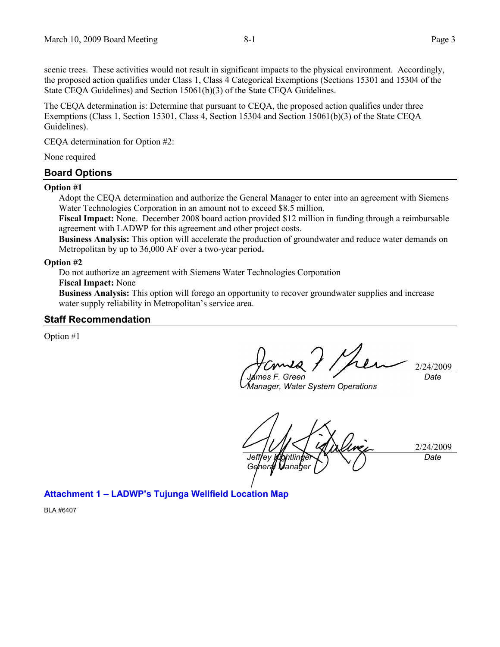scenic trees. These activities would not result in significant impacts to the physical environment. Accordingly, the proposed action qualifies under Class 1, Class 4 Categorical Exemptions (Sections 15301 and 15304 of the State CEQA Guidelines) and Section 15061(b)(3) of the State CEQA Guidelines.

The CEQA determination is: Determine that pursuant to CEQA, the proposed action qualifies under three Exemptions (Class 1, Section 15301, Class 4, Section 15304 and Section 15061(b)(3) of the State CEQA Guidelines).

CEQA determination for Option #2:

None required

#### **Board Options**

#### **Option #1**

Adopt the CEQA determination and authorize the General Manager to enter into an agreement with Siemens Water Technologies Corporation in an amount not to exceed \$8.5 million.

**Fiscal Impact:** None.December 2008 board action provided \$12 million in funding through a reimbursable agreement with LADWP for this agreement and other project costs.

**Business Analysis:** This option will accelerate the production of groundwater and reduce water demands on Metropolitan by up to 36,000 AF over a two-year period**.**

#### **Option #2**

Do not authorize an agreement with Siemens Water Technologies Corporation

### **Fiscal Impact:** None

**Business Analysis:** This option will forego an opportunity to recover groundwater supplies and increase water supply reliability in Metropolitan's service area.

### **Staff Recommendation**

Option #1

2/24/2009 *James F. Green Date*

*Manager, Water System Operations*

2/24/2009 *Jeffrey Kightlinger General Manager Date*

## **Attachment 1 – [LADWP's Tujunga Wellfield Location Map](#page-3-0)**

BLA #6407